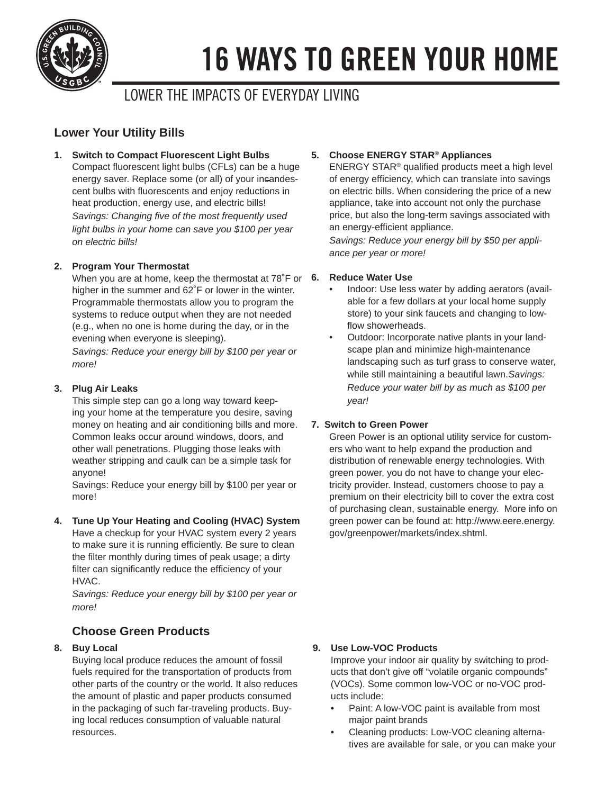

# 16 WAYS TO GREEN YOUR HOME

# LOWER THE IMPACTS OF EVERYDAY LIVING

# **Lower Your Utility Bills**

**1. Switch to Compact Fluorescent Light Bulbs**

Compact fluorescent light bulbs (CFLs) can be a huge energy saver. Replace some (or all) of your incandescent bulbs with fluorescents and enjoy reductions in heat production, energy use, and electric bills! *Savings: Changing five of the most frequently used light bulbs in your home can save you \$100 per year on electric bills!* 

# **2. Program Your Thermostat**

When you are at home, keep the thermostat at 78°F or 6. higher in the summer and 62˚F or lower in the winter. Programmable thermostats allow you to program the systems to reduce output when they are not needed (e.g., when no one is home during the day, or in the evening when everyone is sleeping).

*Savings: Reduce your energy bill by \$100 per year or more!*

### **3. Plug Air Leaks**

This simple step can go a long way toward keeping your home at the temperature you desire, saving money on heating and air conditioning bills and more. Common leaks occur around windows, doors, and other wall penetrations. Plugging those leaks with weather stripping and caulk can be a simple task for anyone!

Savings: Reduce your energy bill by \$100 per year or more!

#### **4. Tune Up Your Heating and Cooling (HVAC) System**

Have a checkup for your HVAC system every 2 years to make sure it is running efficiently. Be sure to clean the filter monthly during times of peak usage; a dirty filter can significantly reduce the efficiency of your HVAC.

*Savings: Reduce your energy bill by \$100 per year or more!*

# **Choose Green Products**

#### **8. Buy Local**

Buying local produce reduces the amount of fossil fuels required for the transportation of products from other parts of the country or the world. It also reduces the amount of plastic and paper products consumed in the packaging of such far-traveling products. Buying local reduces consumption of valuable natural resources.

#### **5. Choose ENERGY STAR® Appliances**

 $ENERGY STAR<sup>®</sup>$  qualified products meet a high level of energy efficiency, which can translate into savings on electric bills. When considering the price of a new appliance, take into account not only the purchase price, but also the long-term savings associated with an energy-efficient appliance.

*Savings: Reduce your energy bill by \$50 per appliance per year or more!*

#### **6. Reduce Water Use**

- Indoor: Use less water by adding aerators (available for a few dollars at your local home supply store) to your sink faucets and changing to lowflow showerheads.
- Outdoor: Incorporate native plants in your landscape plan and minimize high-maintenance landscaping such as turf grass to conserve water, while still maintaining a beautiful lawn.*Savings: Reduce your water bill by as much as \$100 per year!*

#### **7. Switch to Green Power**

Green Power is an optional utility service for customers who want to help expand the production and distribution of renewable energy technologies. With green power, you do not have to change your electricity provider. Instead, customers choose to pay a premium on their electricity bill to cover the extra cost of purchasing clean, sustainable energy. More info on green power can be found at: http://www.eere.energy. gov/greenpower/markets/index.shtml.

#### **9. Use Low-VOC Products**

Improve your indoor air quality by switching to products that don't give off "volatile organic compounds" (VOCs). Some common low-VOC or no-VOC products include:

- Paint: A low-VOC paint is available from most major paint brands
- Cleaning products: Low-VOC cleaning alternatives are available for sale, or you can make your